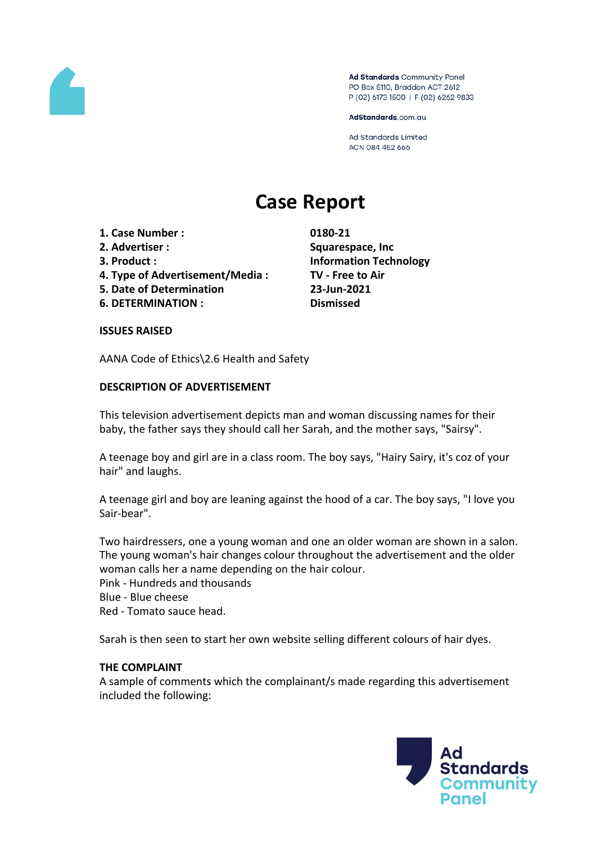

Ad Standards Community Panel PO Box 5110, Braddon ACT 2612 P (02) 6173 1500 | F (02) 6262 9833

AdStandards.com.au

Ad Standards Limited ACN 084 452 666

# **Case Report**

- **1. Case Number : 0180-21**
- 
- 
- **4. Type of Advertisement/Media : TV - Free to Air**
- **5. Date of Determination 23-Jun-2021**
- **6. DETERMINATION : Dismissed**

**2. Advertiser : Squarespace, Inc 3. Product : Information Technology**

### **ISSUES RAISED**

AANA Code of Ethics\2.6 Health and Safety

# **DESCRIPTION OF ADVERTISEMENT**

This television advertisement depicts man and woman discussing names for their baby, the father says they should call her Sarah, and the mother says, "Sairsy".

A teenage boy and girl are in a class room. The boy says, "Hairy Sairy, it's coz of your hair" and laughs.

A teenage girl and boy are leaning against the hood of a car. The boy says, "I love you Sair-bear".

Two hairdressers, one a young woman and one an older woman are shown in a salon. The young woman's hair changes colour throughout the advertisement and the older woman calls her a name depending on the hair colour. Pink - Hundreds and thousands

- Blue Blue cheese
- Red Tomato sauce head.

Sarah is then seen to start her own website selling different colours of hair dyes.

### **THE COMPLAINT**

A sample of comments which the complainant/s made regarding this advertisement included the following:

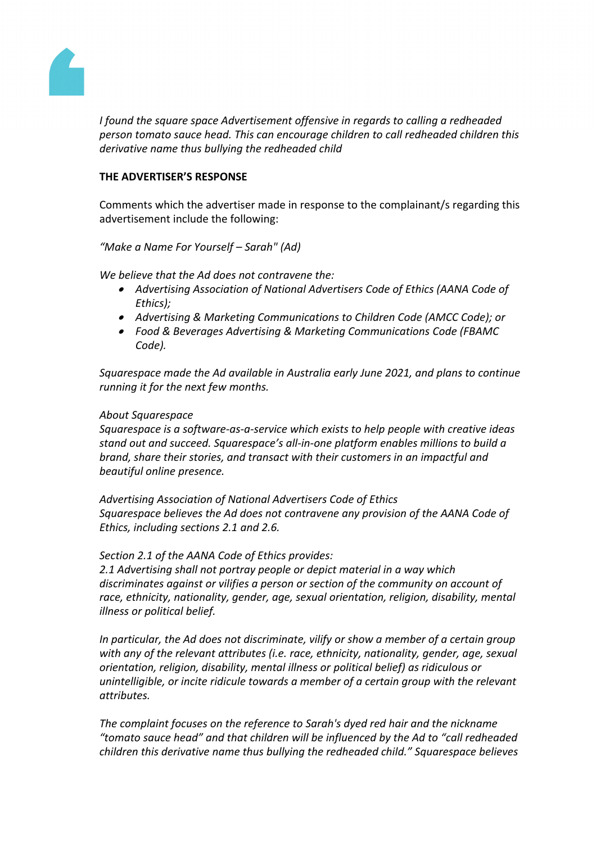

*I found the square space Advertisement offensive in regards to calling a redheaded person tomato sauce head. This can encourage children to call redheaded children this derivative name thus bullying the redheaded child*

# **THE ADVERTISER'S RESPONSE**

Comments which the advertiser made in response to the complainant/s regarding this advertisement include the following:

*"Make a Name For Yourself – Sarah" (Ad)*

*We believe that the Ad does not contravene the:*

- *Advertising Association of National Advertisers Code of Ethics (AANA Code of Ethics);*
- *Advertising & Marketing Communications to Children Code (AMCC Code); or*
- *Food & Beverages Advertising & Marketing Communications Code (FBAMC Code).*

*Squarespace made the Ad available in Australia early June 2021, and plans to continue running it for the next few months.*

# *About Squarespace*

*Squarespace is a software-as-a-service which exists to help people with creative ideas stand out and succeed. Squarespace's all-in-one platform enables millions to build a brand, share their stories, and transact with their customers in an impactful and beautiful online presence.*

*Advertising Association of National Advertisers Code of Ethics Squarespace believes the Ad does not contravene any provision of the AANA Code of Ethics, including sections 2.1 and 2.6.*

*Section 2.1 of the AANA Code of Ethics provides:*

*2.1 Advertising shall not portray people or depict material in a way which discriminates against or vilifies a person or section of the community on account of race, ethnicity, nationality, gender, age, sexual orientation, religion, disability, mental illness or political belief.*

*In particular, the Ad does not discriminate, vilify or show a member of a certain group with any of the relevant attributes (i.e. race, ethnicity, nationality, gender, age, sexual orientation, religion, disability, mental illness or political belief) as ridiculous or unintelligible, or incite ridicule towards a member of a certain group with the relevant attributes.*

*The complaint focuses on the reference to Sarah's dyed red hair and the nickname "tomato sauce head" and that children will be influenced by the Ad to "call redheaded children this derivative name thus bullying the redheaded child." Squarespace believes*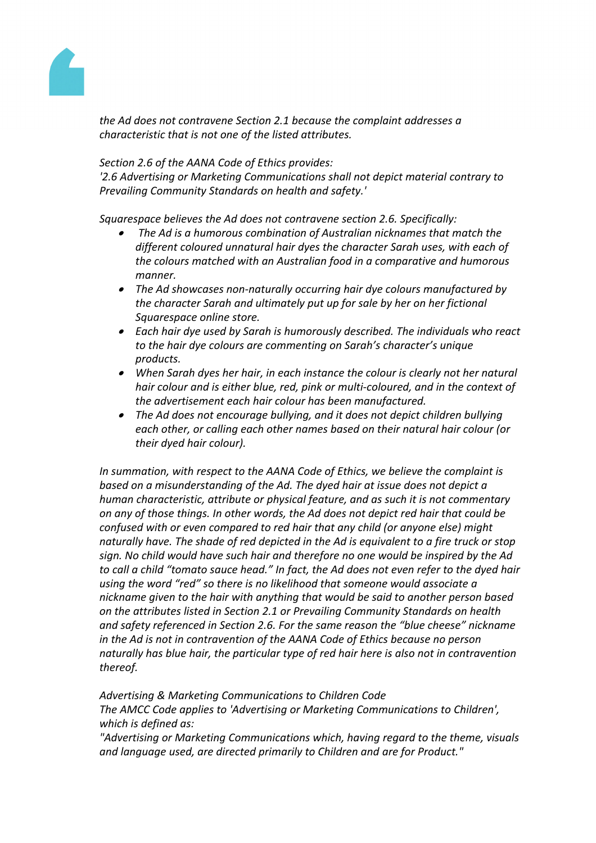

*the Ad does not contravene Section 2.1 because the complaint addresses a characteristic that is not one of the listed attributes.*

# *Section 2.6 of the AANA Code of Ethics provides:*

*'2.6 Advertising or Marketing Communications shall not depict material contrary to Prevailing Community Standards on health and safety.'*

*Squarespace believes the Ad does not contravene section 2.6. Specifically:*

- ∙ *The Ad is a humorous combination of Australian nicknames that match the different coloured unnatural hair dyes the character Sarah uses, with each of the colours matched with an Australian food in a comparative and humorous manner.*
- *The Ad showcases non-naturally occurring hair dye colours manufactured by the character Sarah and ultimately put up for sale by her on her fictional Squarespace online store.*
- *Each hair dye used by Sarah is humorously described. The individuals who react to the hair dye colours are commenting on Sarah's character's unique products.*
- *When Sarah dyes her hair, in each instance the colour is clearly not her natural hair colour and is either blue, red, pink or multi-coloured, and in the context of the advertisement each hair colour has been manufactured.*
- *The Ad does not encourage bullying, and it does not depict children bullying each other, or calling each other names based on their natural hair colour (or their dyed hair colour).*

*In summation, with respect to the AANA Code of Ethics, we believe the complaint is based on a misunderstanding of the Ad. The dyed hair at issue does not depict a human characteristic, attribute or physical feature, and as such it is not commentary on any of those things. In other words, the Ad does not depict red hair that could be confused with or even compared to red hair that any child (or anyone else) might naturally have. The shade of red depicted in the Ad is equivalent to a fire truck or stop sign. No child would have such hair and therefore no one would be inspired by the Ad to call a child "tomato sauce head." In fact, the Ad does not even refer to the dyed hair using the word "red" so there is no likelihood that someone would associate a nickname given to the hair with anything that would be said to another person based on the attributes listed in Section 2.1 or Prevailing Community Standards on health and safety referenced in Section 2.6. For the same reason the "blue cheese" nickname in the Ad is not in contravention of the AANA Code of Ethics because no person naturally has blue hair, the particular type of red hair here is also not in contravention thereof.*

*Advertising & Marketing Communications to Children Code The AMCC Code applies to 'Advertising or Marketing Communications to Children', which is defined as:*

*"Advertising or Marketing Communications which, having regard to the theme, visuals and language used, are directed primarily to Children and are for Product."*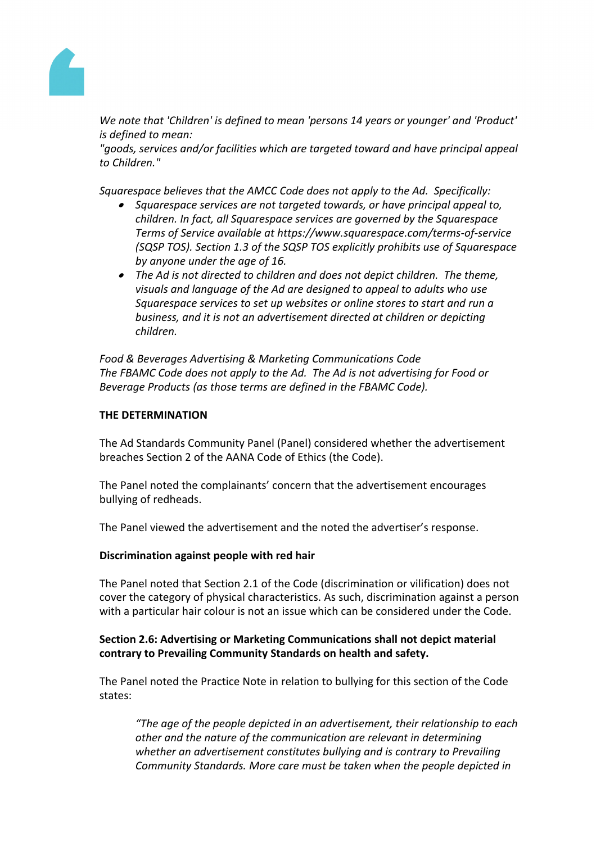

*We note that 'Children' is defined to mean 'persons 14 years or younger' and 'Product' is defined to mean:*

*"goods, services and/or facilities which are targeted toward and have principal appeal to Children."*

*Squarespace believes that the AMCC Code does not apply to the Ad. Specifically:*

- *Squarespace services are not targeted towards, or have principal appeal to, children. In fact, all Squarespace services are governed by the Squarespace Terms of Service available at https://www.squarespace.com/terms-of-service (SQSP TOS). Section 1.3 of the SQSP TOS explicitly prohibits use of Squarespace by anyone under the age of 16.*
- *The Ad is not directed to children and does not depict children. The theme, visuals and language of the Ad are designed to appeal to adults who use Squarespace services to set up websites or online stores to start and run a business, and it is not an advertisement directed at children or depicting children.*

*Food & Beverages Advertising & Marketing Communications Code The FBAMC Code does not apply to the Ad. The Ad is not advertising for Food or Beverage Products (as those terms are defined in the FBAMC Code).*

#### **THE DETERMINATION**

The Ad Standards Community Panel (Panel) considered whether the advertisement breaches Section 2 of the AANA Code of Ethics (the Code).

The Panel noted the complainants' concern that the advertisement encourages bullying of redheads.

The Panel viewed the advertisement and the noted the advertiser's response.

#### **Discrimination against people with red hair**

The Panel noted that Section 2.1 of the Code (discrimination or vilification) does not cover the category of physical characteristics. As such, discrimination against a person with a particular hair colour is not an issue which can be considered under the Code.

# **Section 2.6: Advertising or Marketing Communications shall not depict material contrary to Prevailing Community Standards on health and safety.**

The Panel noted the Practice Note in relation to bullying for this section of the Code states:

*"The age of the people depicted in an advertisement, their relationship to each other and the nature of the communication are relevant in determining whether an advertisement constitutes bullying and is contrary to Prevailing Community Standards. More care must be taken when the people depicted in*